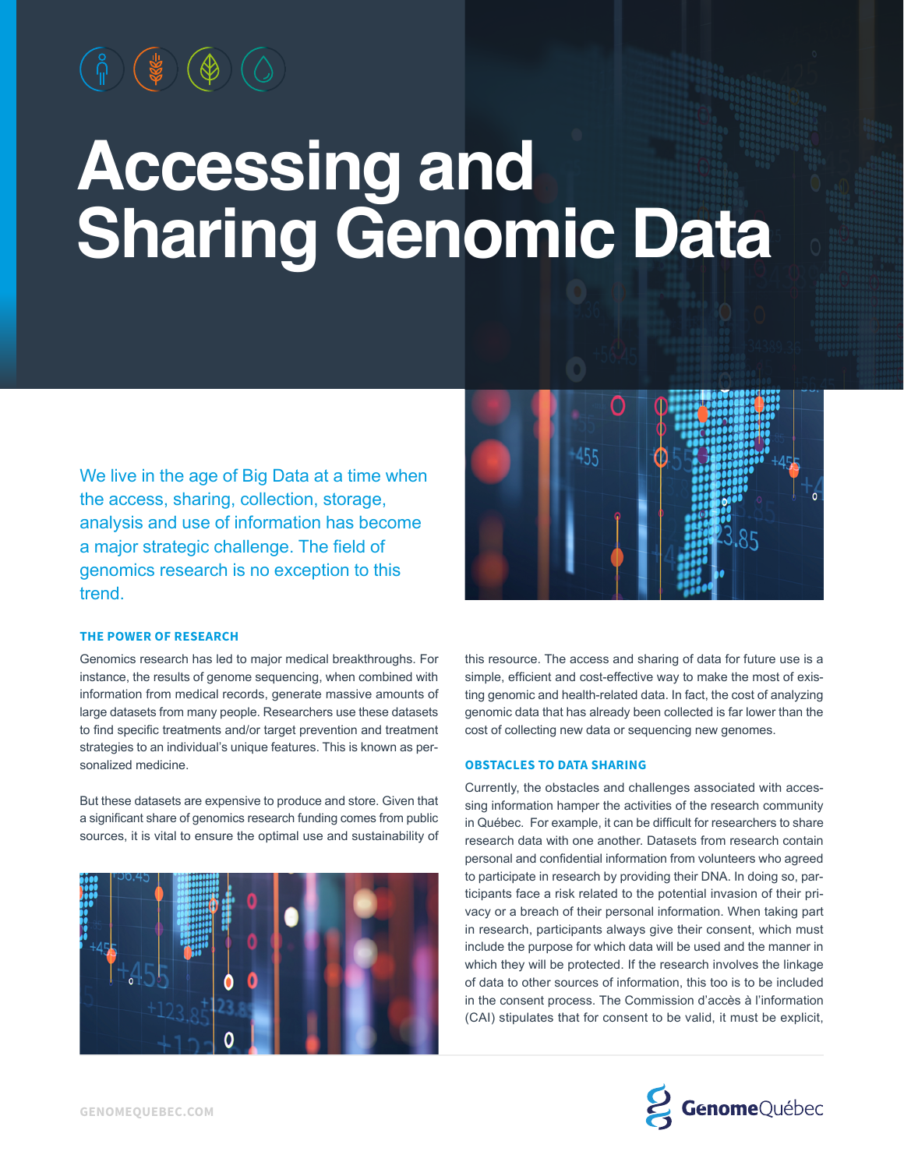## **Accessing and Sharing Genomic Data**

We live in the age of Big Data at a time when the access, sharing, collection, storage, analysis and use of information has become a major strategic challenge. The field of genomics research is no exception to this trend.



Genomics research has led to major medical breakthroughs. For instance, the results of genome sequencing, when combined with information from medical records, generate massive amounts of large datasets from many people. Researchers use these datasets to find specific treatments and/or target prevention and treatment strategies to an individual's unique features. This is known as personalized medicine.

But these datasets are expensive to produce and store. Given that a significant share of genomics research funding comes from public sources, it is vital to ensure the optimal use and sustainability of





this resource. The access and sharing of data for future use is a simple, efficient and cost-effective way to make the most of existing genomic and health-related data. In fact, the cost of analyzing genomic data that has already been collected is far lower than the cost of collecting new data or sequencing new genomes.

## **OBSTACLES TO DATA SHARING**

Currently, the obstacles and challenges associated with accessing information hamper the activities of the research community in Québec. For example, it can be difficult for researchers to share research data with one another. Datasets from research contain personal and confidential information from volunteers who agreed to participate in research by providing their DNA. In doing so, participants face a risk related to the potential invasion of their privacy or a breach of their personal information. When taking part in research, participants always give their consent, which must include the purpose for which data will be used and the manner in which they will be protected. If the research involves the linkage of data to other sources of information, this too is to be included in the consent process. The Commission d'accès à l'information (CAI) stipulates that for consent to be valid, it must be explicit,